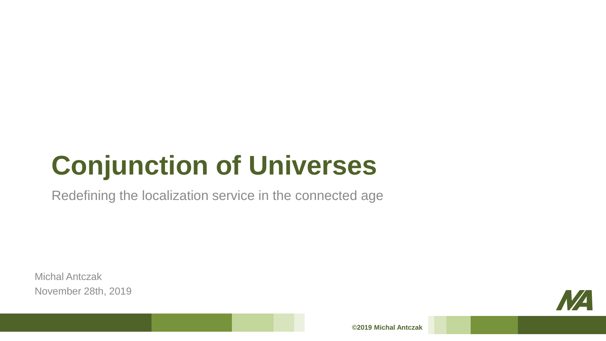# **Conjunction of Universes**

Redefining the localization service in the connected age

Michal Antczak November 28th, 2019

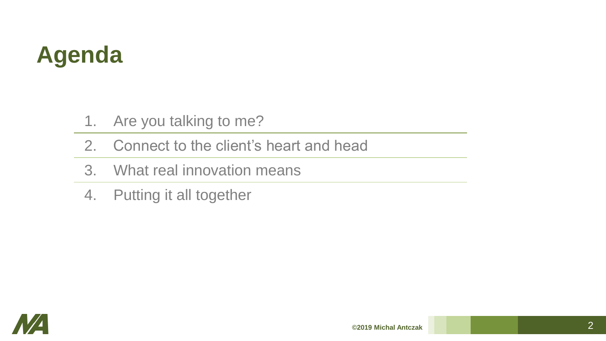## **Agenda**

- 1. Are you talking to me?
- 2. Connect to the client's heart and head
- 3. What real innovation means
- 4. Putting it all together

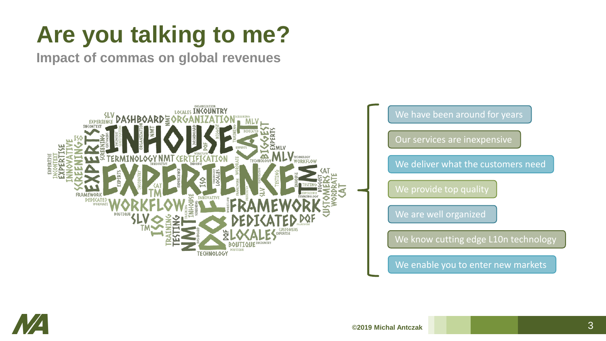## **Are you talking to me?**

**Impact of commas on global revenues**



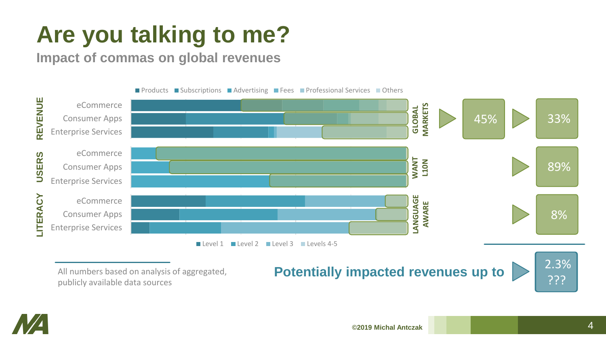### **Are you talking to me?**

**Impact of commas on global revenues**



publicly available data sources

#### **All numbers based on analysis of aggregated, <b>Potentially impacted revenues up to** 2.3%



MA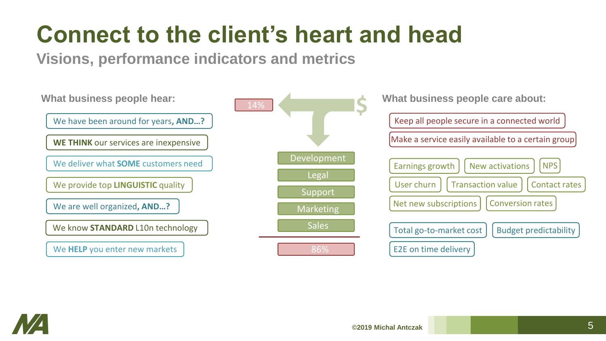### **Connect to the client's heart and head**

**Visions, performance indicators and metrics**



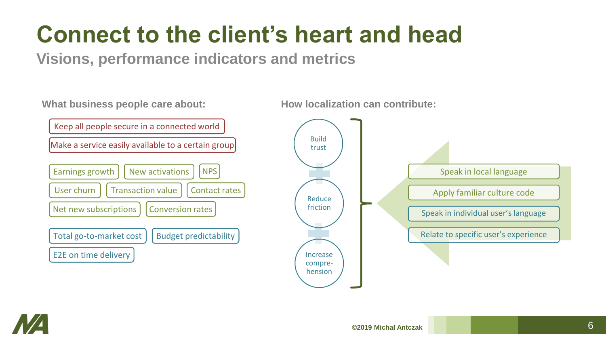#### **Connect to the client's heart and head**

**Visions, performance indicators and metrics**

**What business people care about:**



**How localization can contribute:**



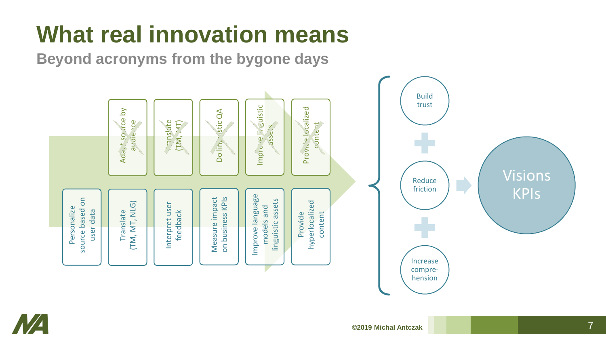# **What real innovation means**

**Beyond acronyms from the bygone days**



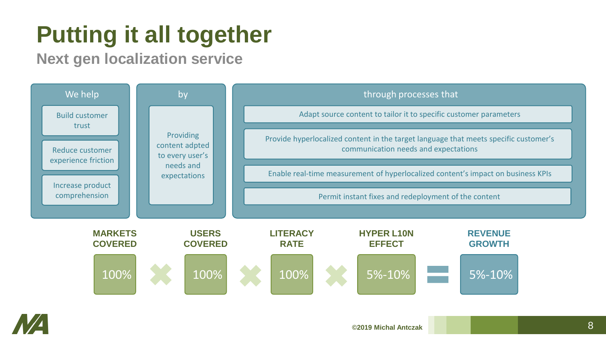#### **Putting it all together**

**Next gen localization service**